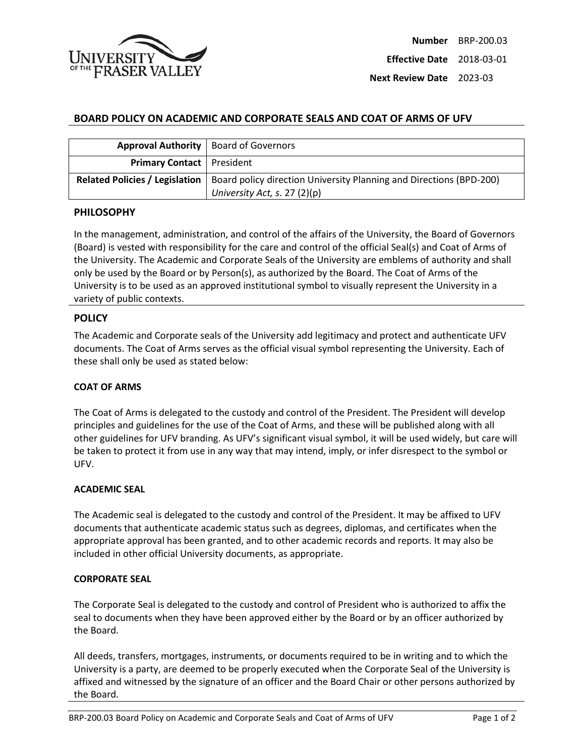

**Effective Date** 2018-03-01

**Next Review Date** 2023-03

# **BOARD POLICY ON ACADEMIC AND CORPORATE SEALS AND COAT OF ARMS OF UFV**

|                                       | Approval Authority   Board of Governors                                                              |
|---------------------------------------|------------------------------------------------------------------------------------------------------|
| <b>Primary Contact</b>   President    |                                                                                                      |
| <b>Related Policies / Legislation</b> | Board policy direction University Planning and Directions (BPD-200)<br>University Act, s. $27(2)(p)$ |

### **PHILOSOPHY**

In the management, administration, and control of the affairs of the University, the Board of Governors (Board) is vested with responsibility for the care and control of the official Seal(s) and Coat of Arms of the University. The Academic and Corporate Seals of the University are emblems of authority and shall only be used by the Board or by Person(s), as authorized by the Board. The Coat of Arms of the University is to be used as an approved institutional symbol to visually represent the University in a variety of public contexts.

## **POLICY**

The Academic and Corporate seals of the University add legitimacy and protect and authenticate UFV documents. The Coat of Arms serves as the official visual symbol representing the University. Each of these shall only be used as stated below:

### **COAT OF ARMS**

The Coat of Arms is delegated to the custody and control of the President. The President will develop principles and guidelines for the use of the Coat of Arms, and these will be published along with all other guidelines for UFV branding. As UFV's significant visual symbol, it will be used widely, but care will be taken to protect it from use in any way that may intend, imply, or infer disrespect to the symbol or UFV.

### **ACADEMIC SEAL**

The Academic seal is delegated to the custody and control of the President. It may be affixed to UFV documents that authenticate academic status such as degrees, diplomas, and certificates when the appropriate approval has been granted, and to other academic records and reports. It may also be included in other official University documents, as appropriate.

### **CORPORATE SEAL**

The Corporate Seal is delegated to the custody and control of President who is authorized to affix the seal to documents when they have been approved either by the Board or by an officer authorized by the Board.

All deeds, transfers, mortgages, instruments, or documents required to be in writing and to which the University is a party, are deemed to be properly executed when the Corporate Seal of the University is affixed and witnessed by the signature of an officer and the Board Chair or other persons authorized by the Board.